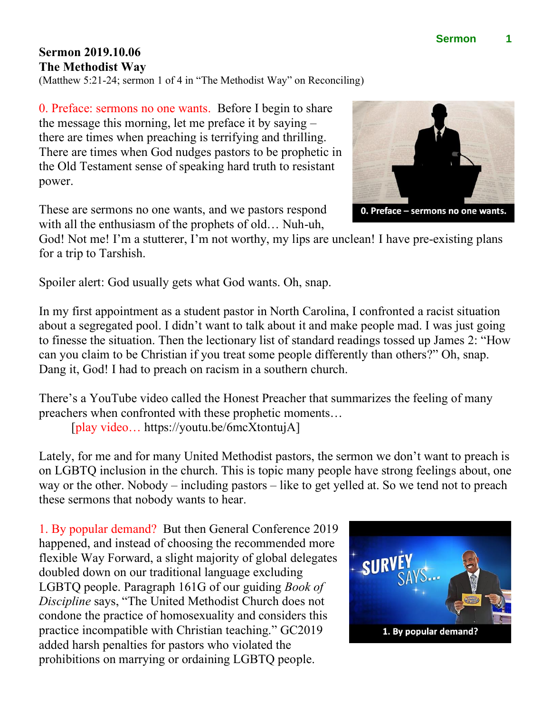## **Sermon 2019.10.06 The Methodist Way**

(Matthew 5:21-24; sermon 1 of 4 in "The Methodist Way" on Reconciling)

0. Preface: sermons no one wants. Before I begin to share the message this morning, let me preface it by saying – there are times when preaching is terrifying and thrilling. There are times when God nudges pastors to be prophetic in the Old Testament sense of speaking hard truth to resistant power.

These are sermons no one wants, and we pastors respond with all the enthusiasm of the prophets of old… Nuh-uh,

God! Not me! I'm a stutterer, I'm not worthy, my lips are unclean! I have pre-existing plans for a trip to Tarshish.

Spoiler alert: God usually gets what God wants. Oh, snap.

In my first appointment as a student pastor in North Carolina, I confronted a racist situation about a segregated pool. I didn't want to talk about it and make people mad. I was just going to finesse the situation. Then the lectionary list of standard readings tossed up James 2: "How can you claim to be Christian if you treat some people differently than others?" Oh, snap. Dang it, God! I had to preach on racism in a southern church.

There's a YouTube video called the Honest Preacher that summarizes the feeling of many preachers when confronted with these prophetic moments… [play video… https://youtu.be/6mcXtontujA]

Lately, for me and for many United Methodist pastors, the sermon we don't want to preach is on LGBTQ inclusion in the church. This is topic many people have strong feelings about, one way or the other. Nobody – including pastors – like to get yelled at. So we tend not to preach these sermons that nobody wants to hear.

1. By popular demand? But then General Conference 2019 happened, and instead of choosing the recommended more flexible Way Forward, a slight majority of global delegates doubled down on our traditional language excluding LGBTQ people. Paragraph 161G of our guiding *Book of Discipline* says, "The United Methodist Church does not condone the practice of homosexuality and considers this practice incompatible with Christian teaching." GC2019 added harsh penalties for pastors who violated the prohibitions on marrying or ordaining LGBTQ people.





0. Preface - sermons no one wants.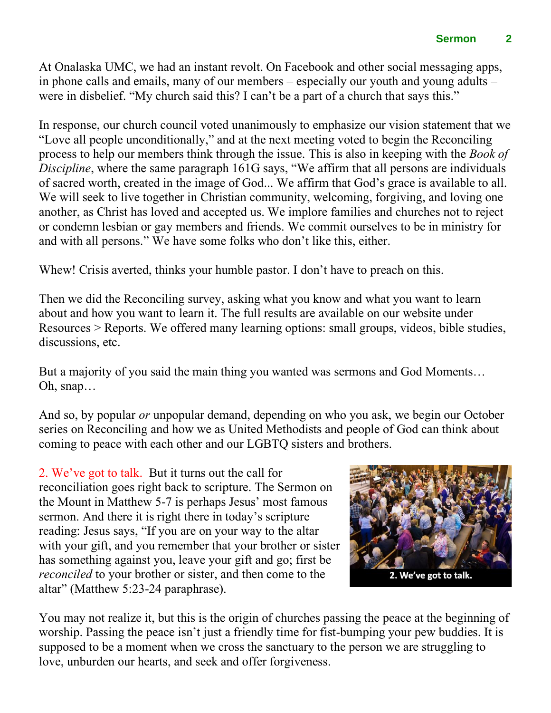At Onalaska UMC, we had an instant revolt. On Facebook and other social messaging apps, in phone calls and emails, many of our members – especially our youth and young adults – were in disbelief. "My church said this? I can't be a part of a church that says this."

In response, our church council voted unanimously to emphasize our vision statement that we "Love all people unconditionally," and at the next meeting voted to begin the Reconciling process to help our members think through the issue. This is also in keeping with the *Book of Discipline*, where the same paragraph 161G says, "We affirm that all persons are individuals of sacred worth, created in the image of God... We affirm that God's grace is available to all. We will seek to live together in Christian community, welcoming, forgiving, and loving one another, as Christ has loved and accepted us. We implore families and churches not to reject or condemn lesbian or gay members and friends. We commit ourselves to be in ministry for and with all persons." We have some folks who don't like this, either.

Whew! Crisis averted, thinks your humble pastor. I don't have to preach on this.

Then we did the Reconciling survey, asking what you know and what you want to learn about and how you want to learn it. The full results are available on our website under Resources > Reports. We offered many learning options: small groups, videos, bible studies, discussions, etc.

But a majority of you said the main thing you wanted was sermons and God Moments… Oh, snap…

And so, by popular *or* unpopular demand, depending on who you ask, we begin our October series on Reconciling and how we as United Methodists and people of God can think about coming to peace with each other and our LGBTQ sisters and brothers.

2. We've got to talk. But it turns out the call for reconciliation goes right back to scripture. The Sermon on the Mount in Matthew 5-7 is perhaps Jesus' most famous sermon. And there it is right there in today's scripture reading: Jesus says, "If you are on your way to the altar with your gift, and you remember that your brother or sister has something against you, leave your gift and go; first be *reconciled* to your brother or sister, and then come to the altar" (Matthew 5:23-24 paraphrase).



You may not realize it, but this is the origin of churches passing the peace at the beginning of worship. Passing the peace isn't just a friendly time for fist-bumping your pew buddies. It is supposed to be a moment when we cross the sanctuary to the person we are struggling to love, unburden our hearts, and seek and offer forgiveness.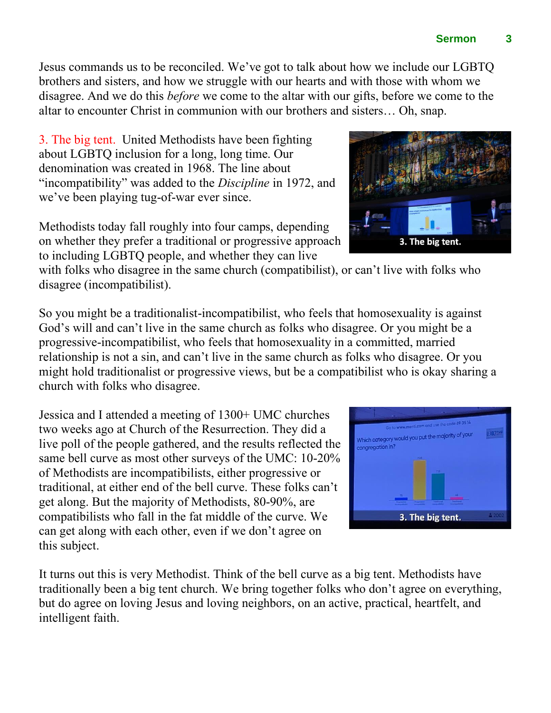Jesus commands us to be reconciled. We've got to talk about how we include our LGBTQ brothers and sisters, and how we struggle with our hearts and with those with whom we disagree. And we do this *before* we come to the altar with our gifts, before we come to the altar to encounter Christ in communion with our brothers and sisters… Oh, snap.

3. The big tent. United Methodists have been fighting about LGBTQ inclusion for a long, long time. Our denomination was created in 1968. The line about "incompatibility" was added to the *Discipline* in 1972, and we've been playing tug-of-war ever since.

Methodists today fall roughly into four camps, depending on whether they prefer a traditional or progressive approach to including LGBTQ people, and whether they can live

with folks who disagree in the same church (compatibilist), or can't live with folks who disagree (incompatibilist).

So you might be a traditionalist-incompatibilist, who feels that homosexuality is against God's will and can't live in the same church as folks who disagree. Or you might be a progressive-incompatibilist, who feels that homosexuality in a committed, married relationship is not a sin, and can't live in the same church as folks who disagree. Or you might hold traditionalist or progressive views, but be a compatibilist who is okay sharing a church with folks who disagree.

Jessica and I attended a meeting of 1300+ UMC churches two weeks ago at Church of the Resurrection. They did a live poll of the people gathered, and the results reflected the same bell curve as most other surveys of the UMC: 10-20% of Methodists are incompatibilists, either progressive or traditional, at either end of the bell curve. These folks can't get along. But the majority of Methodists, 80-90%, are compatibilists who fall in the fat middle of the curve. We can get along with each other, even if we don't agree on this subject.

It turns out this is very Methodist. Think of the bell curve as a big tent. Methodists have traditionally been a big tent church. We bring together folks who don't agree on everything, but do agree on loving Jesus and loving neighbors, on an active, practical, heartfelt, and intelligent faith.





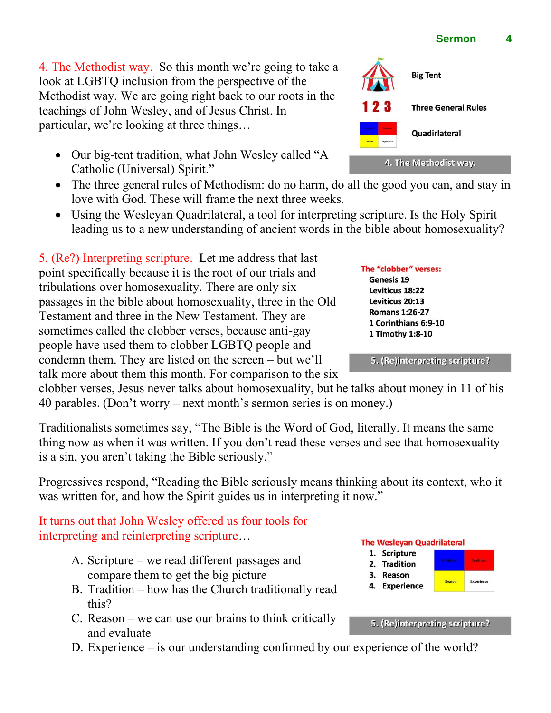4. The Methodist way. So this month we're going to take a look at LGBTQ inclusion from the perspective of the Methodist way. We are going right back to our roots in the teachings of John Wesley, and of Jesus Christ. In particular, we're looking at three things…

- Our big-tent tradition, what John Wesley called "A Catholic (Universal) Spirit."
- The three general rules of Methodism: do no harm, do all the good you can, and stay in love with God. These will frame the next three weeks.
- Using the Wesleyan Quadrilateral, a tool for interpreting scripture. Is the Holy Spirit leading us to a new understanding of ancient words in the bible about homosexuality?

5. (Re?) Interpreting scripture. Let me address that last point specifically because it is the root of our trials and tribulations over homosexuality. There are only six passages in the bible about homosexuality, three in the Old Testament and three in the New Testament. They are sometimes called the clobber verses, because anti-gay people have used them to clobber LGBTQ people and condemn them. They are listed on the screen – but we'll talk more about them this month. For comparison to the six

clobber verses, Jesus never talks about homosexuality, but he talks about money in 11 of his 40 parables. (Don't worry – next month's sermon series is on money.)

Traditionalists sometimes say, "The Bible is the Word of God, literally. It means the same thing now as when it was written. If you don't read these verses and see that homosexuality is a sin, you aren't taking the Bible seriously."

Progressives respond, "Reading the Bible seriously means thinking about its context, who it was written for, and how the Spirit guides us in interpreting it now."

## It turns out that John Wesley offered us four tools for interpreting and reinterpreting scripture…

- A. Scripture we read different passages and compare them to get the big picture
- B. Tradition how has the Church traditionally read this?
- C. Reason we can use our brains to think critically and evaluate
- D. Experience is our understanding confirmed by our experience of the world?

## **Big Tent Three General Rules** Quadirlateral 4. The Methodist way.

The "clobber" verses: Genesis 19 Leviticus 18:22 Leviticus 20:13 **Romans 1:26-27** 1 Corinthians 6:9-10 1 Timothy 1:8-10

5. (Re)interpreting scripture?

**The Wesleyan Quadrilateral** 

- 1. Scripture
- 2. Tradition
- 3. Reason 4. Experience

5. (Re)interpreting scripture?

Experie